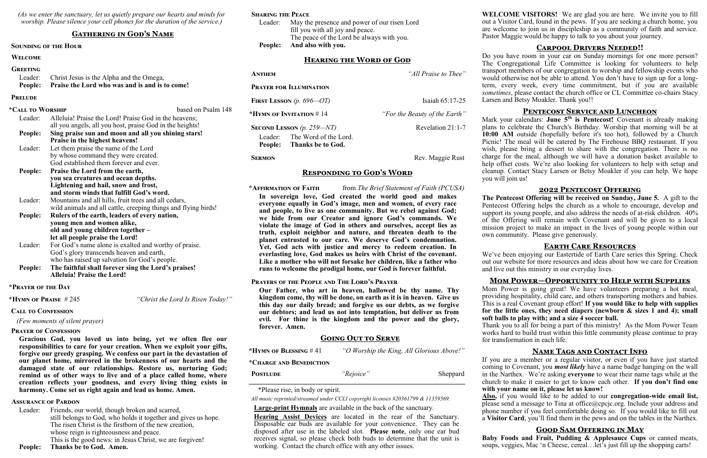*(As we enter the sanctuary, let us quietly prepare our hearts and minds for worship. Please silence your cell phones for the duration of the service.)*

#### **Gathering in God's Name**

#### **Sounding of the Hour**

## **Welcome**

| <b>GREETING</b> |                                                        |
|-----------------|--------------------------------------------------------|
|                 | Leader: Christ Jesus is the Alpha and the Omega,       |
|                 | People: Praise the Lord who was and is and is to come! |

#### **Prelude**

| *Call to Worship |                                                                | based on Psalm 148 |
|------------------|----------------------------------------------------------------|--------------------|
| Leader:          | Alleluia! Praise the Lord! Praise God in the heavens;          |                    |
|                  | all you angels, all you host, praise God in the heights!       |                    |
| People:          | Sing praise sun and moon and all you shining stars!            |                    |
|                  | Praise in the highest heavens!                                 |                    |
| Leader:          | Let them praise the name of the Lord                           |                    |
|                  | by whose command they were created.                            |                    |
|                  | God established them forever and ever.                         |                    |
| <b>People:</b>   | Praise the Lord from the earth,                                |                    |
|                  | you sea creatures and ocean depths.                            |                    |
|                  | Lightening and hail, snow and frost,                           |                    |
|                  | and storm winds that fulfill God's word.                       |                    |
| Leader:          | Mountains and all hills, fruit trees and all cedars,           |                    |
|                  | wild animals and all cattle, creeping things and flying birds! |                    |
| People:          | Rulers of the earth, leaders of every nation,                  |                    |
|                  | young men and women alike,                                     |                    |
|                  | old and young children together -                              |                    |
|                  | let all people praise the Lord!                                |                    |
| Leader:          | For God's name alone is exalted and worthy of praise.          |                    |
|                  | God's glory transcends heaven and earth,                       |                    |
|                  | who has raised up salvation for God's people.                  |                    |
| People:          | The faithful shall forever sing the Lord's praises!            |                    |
|                  | <b>Alleluia! Praise the Lord!</b>                              |                    |
|                  |                                                                |                    |

Leader: Friends, our world, though broken and scarred, still belongs to God, who holds it together and gives us hope. The risen Christ is the firstborn of the new creation, whose reign is righteousness and peace. This is the good news: in Jesus Christ, we are forgiven! **People: Thanks be to God. Amen.**

| <b>ANTHEM</b>                  |                                            | "All Praise to Thee"          |  |
|--------------------------------|--------------------------------------------|-------------------------------|--|
| <b>PRAYER FOR ILLUMINATION</b> |                                            |                               |  |
| FIRST LESSON $(p. 696 - OT)$   |                                            | Isaiah $65:17-25$             |  |
| *HYMN OF INVITATION $# 14$     |                                            | "For the Beauty of the Earth" |  |
| SECOND LESSON $(p. 259 - NT)$  |                                            | Revelation 21:1-7             |  |
| Leader:<br>People:             | The Word of the Lord.<br>Thanks be to God. |                               |  |
| <b>SERMON</b>                  |                                            | Rev. Maggie Rust              |  |

#### **\*Prayer of the Day**

**\*Hymn of Praise** # 245 *"Christ the Lord Is Risen Today!"*

#### **Call to Confession**

 *(Few moments of silent prayer)*

#### **Prayer of Confession**

**Gracious God, you loved us into being, yet we often flee our responsibilities to care for your creation. When we exploit your gifts, forgive our greedy grasping. We confess our part in the devastation of our planet home, mirrored in the brokenness of our hearts and the damaged state of our relationships. Restore us, nurturing God; remind us of other ways to live and of a place called home, where creation reflects your goodness, and every living thing exists in harmony. Come set us right again and lead us home. Amen.**

#### **Assurance of Pardon**

## **Sharing the Peace**

Leader: May the presence and power of our risen Lord fill you with all joy and peace. The peace of the Lord be always with you. **People: And also with you.**

#### **Hearing the Word of God**

**Responding to God's Word**

#### **\*Affirmation of Faith** from *The Brief Statement of Faith (PCUSA)*

Mark your calendars: **June 5<sup>th</sup>** is Pentecost! Covenant is already making plans to celebrate the Church's Birthday. Worship that morning will be at **10:00 AM** outside (hopefully before it's too hot), followed by a Church Picnic! The meal will be catered by The Firehouse BBQ restaurant. If you wish, please bring a dessert to share with the congregation. There is no charge for the meal, although we will have a donation basket available to help offset costs. We're also looking for volunteers to help with setup and cleanup. Contact Stacy Larsen or Betsy Moakler if you can help. We hope you will join us!

**In sovereign love, God created the world good and makes everyone equally in God's image, men and women, of every race and people, to live as one community. But we rebel against God; we hide from our Creator and ignore God's commands. We violate the image of God in others and ourselves, accept lies as truth, exploit neighbor and nature, and threaten death to the planet entrusted to our care. We deserve God's condemnation. Yet, God acts with justice and mercy to redeem creation. In everlasting love, God makes us heirs with Christ of the covenant. Like a mother who will not forsake her children, like a father who runs to welcome the prodigal home, our God is forever faithful.**

#### **Prayers of the People and The Lord's Prayer**

**Our Father, who art in heaven, hallowed be thy name. Thy kingdom come, thy will be done, on earth as it is in heaven. Give us this day our daily bread; and forgive us our debts, as we forgive our debtors; and lead us not into temptation, but deliver us from evil. For thine is the kingdom and the power and the glory, forever. Amen.**

#### **Going Out to Serve**

| *HYMN OF BLESSING $#41$ | "O Worship the King, All Glorious Above!" |          |
|-------------------------|-------------------------------------------|----------|
| *CHARGE AND BENEDICTION |                                           |          |
| <b>POSTLUDE</b>         | "Rejoice"                                 | Sheppard |

\*Please rise, in body or spirit.

*All music reprinted/streamed under CCLI copyright licenses #20361799 & 11359569.*

**Large-print Hymnals** are available in the back of the sanctuary.

**Hearing Assist Devices** are located in the rear of the Sanctuary. Disposable ear buds are available for your convenience. They can be disposed after use in the labeled slot. **Please note**, only one ear bud receives signal, so please check both buds to determine that the unit is working. Contact the church office with any other issues.

**WELCOME VISITORS!** We are glad you are here. We invite you to fill out a Visitor Card, found in the pews. If you are seeking a church home, you are welcome to join us in discipleship as a community of faith and service. Pastor Maggie would be happy to talk to you about your journey.

#### **Carpool Drivers Needed!!**

Do you have room in your car on Sunday mornings for one more person? The Congregational Life Committee is looking for volunteers to help transport members of our congregation to worship and fellowship events who would otherwise not be able to attend. You don't have to sign up for a longterm, every week, every time commitment, but if you are available *sometimes*, please contact the church office or CL Committee co-chairs Stacy Larsen and Betsy Moakler. Thank you!!

## **Pentecost Service and Luncheon**

#### **2022 Pentecost Offering**

**The Pentecost Offering will be received on Sunday, June 5.** A gift to the Pentecost Offering helps the church as a whole to encourage, develop and support its young people, and also address the needs of at-risk children. 40% of the Offering will remain with Covenant and will be given to a local mission project to make an impact in the lives of young people within our own community. Please give generously.

#### **Earth Care Resources**

We've been enjoying our Eastertide of Earth Care series this Spring. Check out our website for more resources and ideas about how we care for Creation and live out this ministry in our everyday lives.

#### **Mom Power—Opportunity to Help with Supplies**

Mom Power is going great! We have volunteers preparing a hot meal, providing hospitality, child care, and others transporting mothers and babies. This is a real Covenant group effort! **If you would like to help with supplies for the little ones, they need diapers (newborn & sizes 1 and 4); small soft balls to play with; and a size 4 soccer ball.**

Thank you to all for being a part of this ministry! As the Mom Power Team works hard to build trust within this little community please continue to pray for transformation in each life.

#### **Name Tags and Contact Info**

If you are a member or a regular visitor, or even if you have just started coming to Covenant, you *most likely* have a name badge hanging on the wall in the Narthex. We're asking **everyone** to wear their name tags while at the church to make it easier to get to know each other. **If you don't find one with your name on it, please let us know!**

**Also,** if you would like to be added to our **congregation-wide email list,**  please send a message to Tina at office@cpcjc.org. Include your address and phone number if you feel comfortable doing so. If you would like to fill out a **Visitor Card**, you'll find them in the pews and on the tables in the Narthex.

## **Good Sam Offering in May**

**Baby Foods and Fruit, Pudding & Applesauce Cups** or canned meats, soups, veggies, Mac 'n Cheese, cereal…let's just fill up the shopping carts!